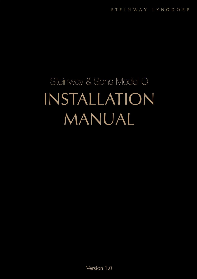# Steinway & Sons Model O INSTALLATION MANUAL

Version 1.0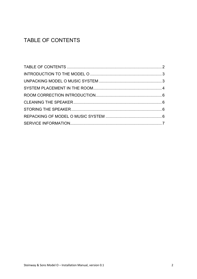## TABLE OF CONTENTS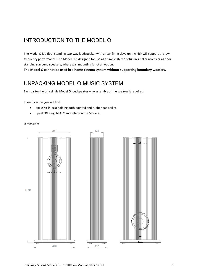## INTRODUCTION TO THE MODEL O

The Model O is a floor standing two-way loudspeaker with a rear-firing slave unit, which will support the lowfrequency performance. The Model O is designed for use as a simple stereo setup in smaller rooms or as floor standing surround speakers, where wall mounting is not an option.

**The Model O cannot be used in a home cinema system without supporting boundary woofers.**

## UNPACKING MODEL O MUSIC SYSTEM

Each carton holds a single Model O loudspeaker – no assembly of the speaker is required.

In each carton you will find:

- Spike Kit (4 pcs) holding both pointed and rubber pad spikes
- SpeakON Plug, NL4FC, mounted on the Model O

Dimensions:



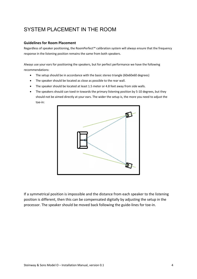## SYSTEM PLACEMENT IN THE ROOM

#### **Guidelines for Room Placement**

Regardless of speaker positioning, the RoomPerfect™ calibration system will always ensure that the frequency response in the listening position remains the same from both speakers.

Always use your ears for positioning the speakers, but for perfect performance we have the following recommendations:

- The setup should be in accordance with the basic stereo triangle (60x60x60 degrees)
- The speaker should be located as close as possible to the rear wall.
- The speaker should be located at least 1.5 meter or 4.8 feet away from side walls.
- The speakers should can toed-in towards the primary listening position by 5-10 degrees, but they should not be aimed directly at your ears. The wider the setup is, the more you need to adjust the toe-in:



If a symmetrical position is impossible and the distance from each speaker to the listening position is different, then this can be compensated digitally by adjusting the setup in the processor. The speaker should be moved back following the guide-lines for toe-in.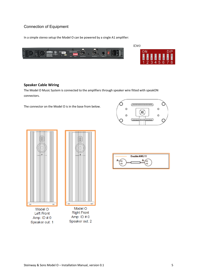### Connection of Equipment

In a simple stereo setup the Model O can be powered by a single A1 amplifier:





#### **Speaker Cable Wiring**

The Model O Music System is connected to the amplifiers through speaker wire fitted with speakON connectors.

The connector on the Model O is in the base from below.







Model O **Left Front** Amp: ID # 0 Speaker out: 1

Model O **Right Front** Amp:  $ID \# 0$ Speaker out: 2

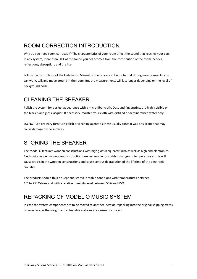## ROOM CORRECTION INTRODUCTION

Why do you need room correction? The characteristics of your room affect the sound that reaches your ears. In any system, more than 50% of the sound you hear comes from the contribution of the room, echoes, reflections, absorption, and the like.

Follow the instructions of the Installation Manual of the processor, but note that during measurements, you can work, talk and move around in the room. But the measurements will last longer depending on the level of background noise.

## CLEANING THE SPEAKER

Polish the system for perfect appearance with a micro fiber cloth. Dust and fingerprints are highly visible on the black piano gloss lacquer. If necessary, moisten your cloth with distilled or demineralized water only.

DO NOT use ordinary furniture polish or cleaning agents as these usually contain wax or silicone that may cause damage to the surfaces.

## STORING THE SPEAKER

The Model O features wooden constructions with high gloss lacquered finish as well as high end electronics. Electronics as well as wooden constructions are vulnerable for sudden changes in temperature as this will cause cracks in the wooden constructions and cause serious degradation of the lifetime of the electronic circuitry.

The products should thus be kept and stored in stable conditions with temperatures between  $10^{\circ}$  to 25 $^{\circ}$  Celsius and with a relative humidity level between 50% and 55%.

## REPACKING OF MODEL O MUSIC SYSTEM

In case the system components are to be moved to another location repacking into the original shipping crates is necessary, as the weight and vulnerable surfaces are causes of concern.